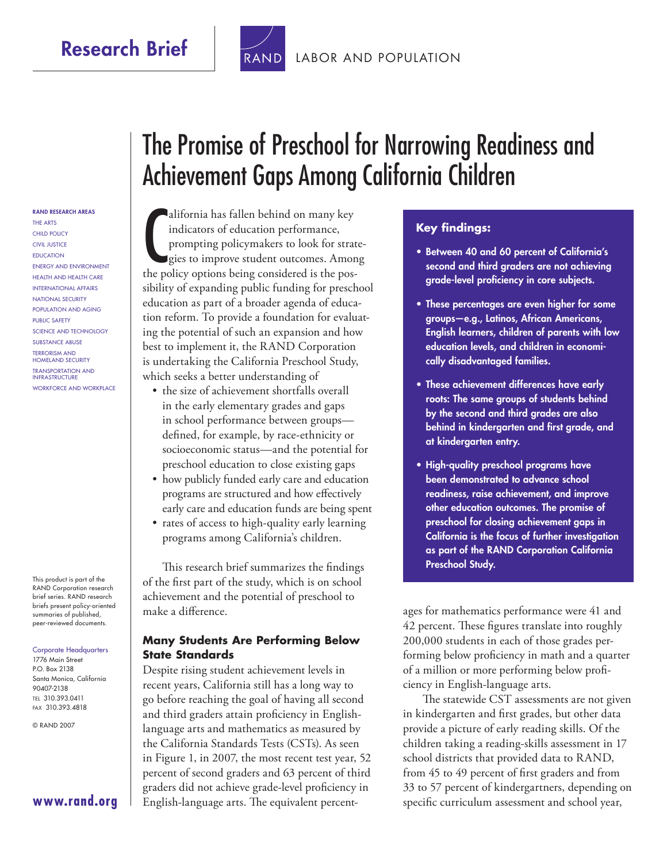## **Research Brief**



#### [LABOR AND POPULATION](http://www.rand.org/pdfrd/labor/)

#### **RAND RESEARCH AREAS**

THE ARTS CHILD POLICY CIVIL JUSTICE EDUCATION ENERGY AND ENVIRONMENT HEALTH AND HEALTH CARE INTERNATIONAL AFFAIRS NATIONAL SECURITY POPULATION AND AGING PUBLIC SAFETY SCIENCE AND TECHNOLOGY SUBSTANCE ABUSE TERRORISM AND HOMELAND SECURITY TRANSPORTATION AND INFRASTRUCTURE WORKFORCE AND WORKPLACE

This product is part of the RAND Corporation research brief series. RAND research briefs present policy-oriented summaries of published, peer-reviewed documents.

#### Corporate Headquarters 1776 Main Street P.O. Box 2138 Santa Monica, California 90407-2138 TEL 310.393.0411 FAX 310.393.4818

© RAND 2007

## **[www.rand.org](http://www.rand.org)**

# The Promise of Preschool for Narrowing Readiness and Achievement Gaps Among California Children

alifornia has fallen behind on many key<br>indicators of education performance,<br>prompting policymakers to look for strat<br>gies to improve student outcomes. Amon<br>the policy options being considered is the posalifornia has fallen behind on many key indicators of education performance, prompting policymakers to look for stratesies to improve student outcomes. Among sibility of expanding public funding for preschool education as part of a broader agenda of education reform. To provide a foundation for evaluating the potential of such an expansion and how best to implement it, the RAND Corporation is undertaking the California Preschool Study, which seeks a better understanding of

- the size of achievement shortfalls overall in the early elementary grades and gaps in school performance between groups defined, for example, by race-ethnicity or socioeconomic status—and the potential for preschool education to close existing gaps
- how publicly funded early care and education programs are structured and how effectively early care and education funds are being spent
- rates of access to high-quality early learning programs among California's children.

This research brief summarizes the findings of the first part of the study, which is on school achievement and the potential of preschool to make a difference.

#### **Many Students Are Performing Below State Standards**

Despite rising student achievement levels in recent years, California still has a long way to go before reaching the goal of having all second and third graders attain proficiency in Englishlanguage arts and mathematics as measured by the California Standards Tests (CSTs). As seen in Figure 1, in 2007, the most recent test year, 52 percent of second graders and 63 percent of third graders did not achieve grade-level proficiency in English-language arts. The equivalent percent-

#### **Key findings:**

- **Between 40 and 60 percent of California's second and third graders are not achieving**  grade-level proficiency in core subjects.
- **These percentages are even higher for some groups—e.g., Latinos, African Americans, English learners, children of parents with low education levels, and children in economically disadvantaged families.**
- **These achievement differences have early roots: The same groups of students behind by the second and third grades are also**  behind in kindergarten and first grade, and **at kindergarten entry.**
- **High-quality preschool programs have been demonstrated to advance school readiness, raise achievement, and improve other education outcomes. The promise of preschool for closing achievement gaps in California is the focus of further investigation as part of the RAND Corporation California Preschool Study.**

ages for mathematics performance were 41 and 42 percent. These figures translate into roughly 200,000 students in each of those grades performing below proficiency in math and a quarter of a million or more performing below proficiency in English-language arts.

The statewide CST assessments are not given in kindergarten and first grades, but other data provide a picture of early reading skills. Of the children taking a reading-skills assessment in 17 school districts that provided data to RAND, from 45 to 49 percent of first graders and from 33 to 57 percent of kindergartners, depending on specific curriculum assessment and school year,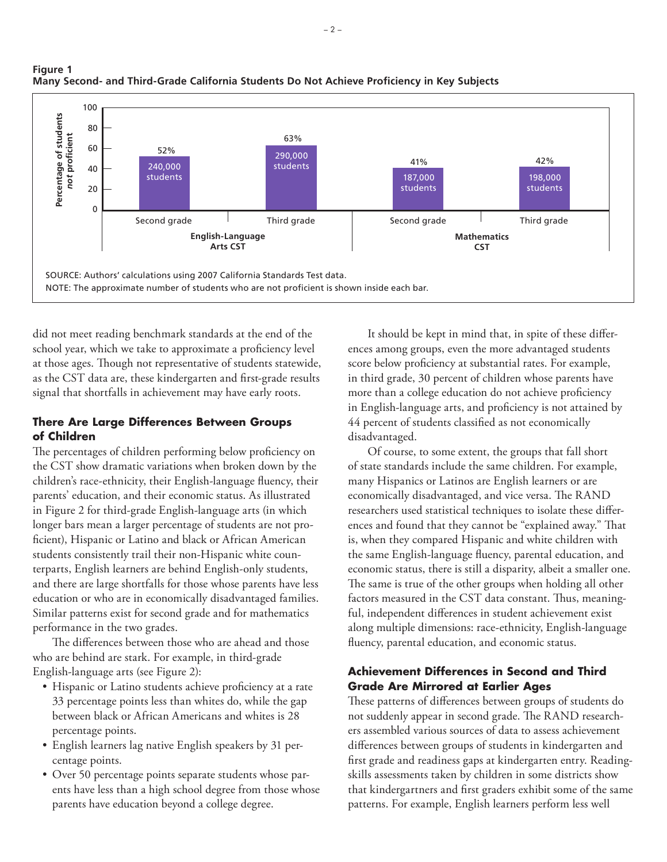

#### **Figure 1** Many Second- and Third-Grade California Students Do Not Achieve Proficiency in Key Subjects

did not meet reading benchmark standards at the end of the school year, which we take to approximate a proficiency level at those ages. Though not representative of students statewide, as the CST data are, these kindergarten and first-grade results signal that shortfalls in achievement may have early roots.

#### **There Are Large Differences Between Groups of Children**

The percentages of children performing below proficiency on the CST show dramatic variations when broken down by the children's race-ethnicity, their English-language fluency, their parents' education, and their economic status. As illustrated in Figure 2 for third-grade English-language arts (in which longer bars mean a larger percentage of students are not proficient), Hispanic or Latino and black or African American students consistently trail their non-Hispanic white counterparts, English learners are behind English-only students, and there are large shortfalls for those whose parents have less education or who are in economically disadvantaged families. Similar patterns exist for second grade and for mathematics performance in the two grades.

The differences between those who are ahead and those who are behind are stark. For example, in third-grade English-language arts (see Figure 2):

- Hispanic or Latino students achieve proficiency at a rate 33 percentage points less than whites do, while the gap between black or African Americans and whites is 28 percentage points.
- English learners lag native English speakers by 31 percentage points.
- Over 50 percentage points separate students whose parents have less than a high school degree from those whose parents have education beyond a college degree.

It should be kept in mind that, in spite of these differences among groups, even the more advantaged students score below proficiency at substantial rates. For example, in third grade, 30 percent of children whose parents have more than a college education do not achieve proficiency in English-language arts, and proficiency is not attained by 44 percent of students classified as not economically disadvantaged.

Of course, to some extent, the groups that fall short of state standards include the same children. For example, many Hispanics or Latinos are English learners or are economically disadvantaged, and vice versa. The RAND researchers used statistical techniques to isolate these differences and found that they cannot be "explained away." That is, when they compared Hispanic and white children with the same English-language fluency, parental education, and economic status, there is still a disparity, albeit a smaller one. The same is true of the other groups when holding all other factors measured in the CST data constant. Thus, meaningful, independent differences in student achievement exist along multiple dimensions: race-ethnicity, English-language fluency, parental education, and economic status.

### **Achievement Differences in Second and Third Grade Are Mirrored at Earlier Ages**

These patterns of differences between groups of students do not suddenly appear in second grade. The RAND researchers assembled various sources of data to assess achievement differences between groups of students in kindergarten and first grade and readiness gaps at kindergarten entry. Readingskills assessments taken by children in some districts show that kindergartners and first graders exhibit some of the same patterns. For example, English learners perform less well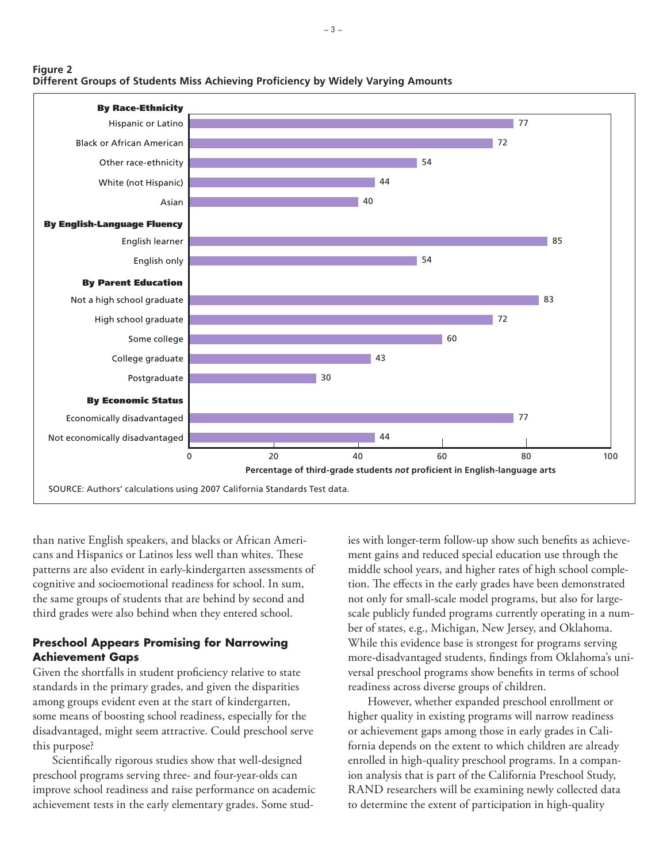

than native English speakers, and blacks or African Americans and Hispanics or Latinos less well than whites. These patterns are also evident in early-kindergarten assessments of cognitive and socioemotional readiness for school. In sum, the same groups of students that are behind by second and third grades were also behind when they entered school.

**Figure 2**

#### **Preschool Appears Promising for Narrowing Achievement Gaps**

Given the shortfalls in student proficiency relative to state standards in the primary grades, and given the disparities among groups evident even at the start of kindergarten, some means of boosting school readiness, especially for the disadvantaged, might seem attractive. Could preschool serve this purpose?

Scientifically rigorous studies show that well-designed preschool programs serving three- and four-year-olds can improve school readiness and raise performance on academic achievement tests in the early elementary grades. Some stud-

ies with longer-term follow-up show such benefits as achievement gains and reduced special education use through the middle school years, and higher rates of high school completion. The effects in the early grades have been demonstrated not only for small-scale model programs, but also for largescale publicly funded programs currently operating in a number of states, e.g., Michigan, New Jersey, and Oklahoma. While this evidence base is strongest for programs serving more-disadvantaged students, findings from Oklahoma's universal preschool programs show benefits in terms of school readiness across diverse groups of children.

However, whether expanded preschool enrollment or higher quality in existing programs will narrow readiness or achievement gaps among those in early grades in California depends on the extent to which children are already enrolled in high-quality preschool programs. In a companion analysis that is part of the California Preschool Study, RAND researchers will be examining newly collected data to determine the extent of participation in high-quality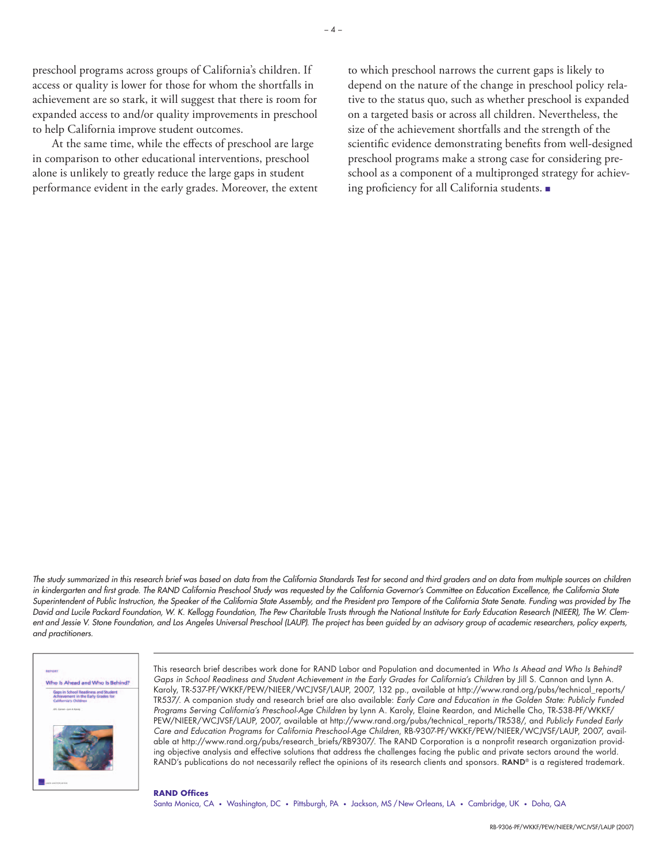preschool programs across groups of California's children. If access or quality is lower for those for whom the shortfalls in achievement are so stark, it will suggest that there is room for expanded access to and/or quality improvements in preschool to help California improve student outcomes.

At the same time, while the effects of preschool are large in comparison to other educational interventions, preschool alone is unlikely to greatly reduce the large gaps in student performance evident in the early grades. Moreover, the extent

to which preschool narrows the current gaps is likely to depend on the nature of the change in preschool policy relative to the status quo, such as whether preschool is expanded on a targeted basis or across all children. Nevertheless, the size of the achievement shortfalls and the strength of the scientific evidence demonstrating benefits from well-designed preschool programs make a strong case for considering preschool as a component of a multipronged strategy for achieving proficiency for all California students. ■

The study summarized in this research brief was based on data from the California Standards Test for second and third graders and on data from multiple sources on children in kindergarten and first grade. The RAND California Preschool Study was requested by the California Governor's Committee on Education Excellence, the California State Superintendent of Public Instruction, the Speaker of the California State Assembly, and the President pro Tempore of the California State Senate. Funding was provided by The David and Lucile Packard Foundation, W. K. Kellogg Foundation, The Pew Charitable Trusts through the National Institute for Early Education Research (NIEER), The W. Clement and Jessie V. Stone Foundation, and Los Angeles Universal Preschool (LAUP). The project has been guided by an advisory group of academic researchers, policy experts, and practitioners.



This research brief describes work done for RAND Labor and Population and documented in Who Is Ahead and Who Is Behind? Gaps in School Readiness and Student Achievement in the Early Grades for California's Children by Jill S. Cannon and Lynn A. Karoly, TR-537-PF/WKKF/PEW/NIEER/WCJVSF/LAUP, 2007, 132 pp., available at [http://www.rand.org/pubs/technical\\_reports/](http://www.rand.org/pubs/technical_reports/TR537/) [TR537/.](http://www.rand.org/pubs/technical_reports/TR537/) A companion study and research brief are also available: Early Care and Education in the Golden State: Publicly Funded Programs Serving California's Preschool-Age Children by Lynn A. Karoly, Elaine Reardon, and Michelle Cho, TR-538-PF/WKKF/ PEW/NIEER/WCJVSF/LAUP, 2007, available at [http://www.rand.org/pubs/technical\\_reports/TR538/,](http://www.rand.org/pubs/technical_reports/TR538) and Publicly Funded Early Care and Education Programs for California Preschool-Age Children, RB-9307-PF/WKKF/PEW/NIEER/WCJVSF/LAUP, 2007, available at [http://www.rand.org/pubs/research\\_briefs/RB9307/.](http://www.rand.org/pubs/research_briefs/RB9307) The RAND Corporation is a nonprofit research organization providing objective analysis and effective solutions that address the challenges facing the public and private sectors around the world.  $RAND's$  publications do not necessarily reflect the opinions of its research clients and sponsors.  $RAND<sup>®</sup>$  is a registered trademark.